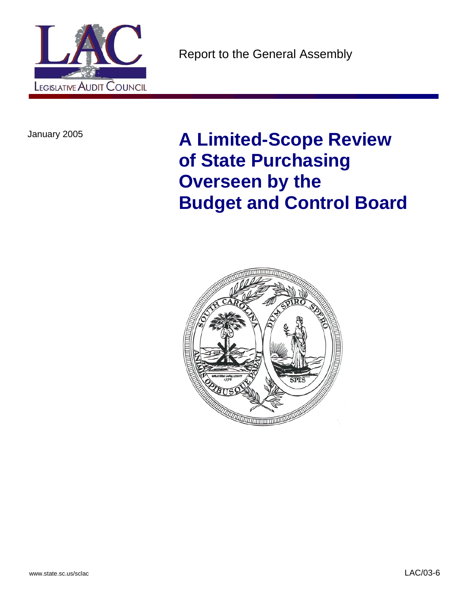

January 2005 **A Limited-Scope Review of State Purchasing Overseen by the Budget and Control Board**

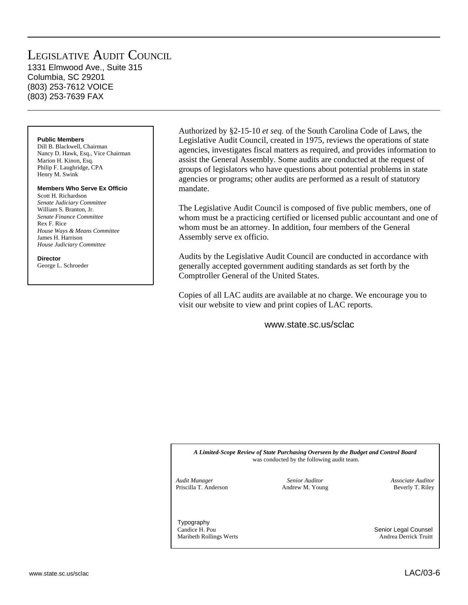### LEGISLATIVE AUDIT COUNCIL 1331 Elmwood Ave., Suite 315

Columbia, SC 29201 (803) 253-7612 VOICE (803) 253-7639 FAX

### **Public Members**

Dill B. Blackwell, Chairman Nancy D. Hawk, Esq., Vice Chairman Marion H. Kinon, Esq. Philip F. Laughridge, CPA Henry M. Swink

### **Members Who Serve Ex Officio**

Scott H. Richardson *Senate Judiciary Committee* William S. Branton, Jr. *Senate Finance Committee* Rex F. Rice *House Ways & Means Committee* James H. Harrison *House Judiciary Committee*

### **Director**

George L. Schroeder

Authorized by §2-15-10 *et seq.* of the South Carolina Code of Laws, the Legislative Audit Council, created in 1975, reviews the operations of state agencies, investigates fiscal matters as required, and provides information to assist the General Assembly. Some audits are conducted at the request of groups of legislators who have questions about potential problems in state agencies or programs; other audits are performed as a result of statutory mandate.

The Legislative Audit Council is composed of five public members, one of whom must be a practicing certified or licensed public accountant and one of whom must be an attorney. In addition, four members of the General Assembly serve ex officio.

Audits by the Legislative Audit Council are conducted in accordance with generally accepted government auditing standards as set forth by the Comptroller General of the United States.

Copies of all LAC audits are available at no charge. We encourage you to visit our website to view and print copies of LAC reports.

www.state.sc.us/sclac

*A Limited-Scope Review of State Purchasing Overseen by the Budget and Control Board* was conducted by the following audit team.

*Audit Manager* Priscilla T. Anderson

*Senior Auditor* Andrew M. Young *Associate Auditor* Beverly T. Riley

Typography Candice H. Pou Senior Legal Counsel Maribeth Rollings Werts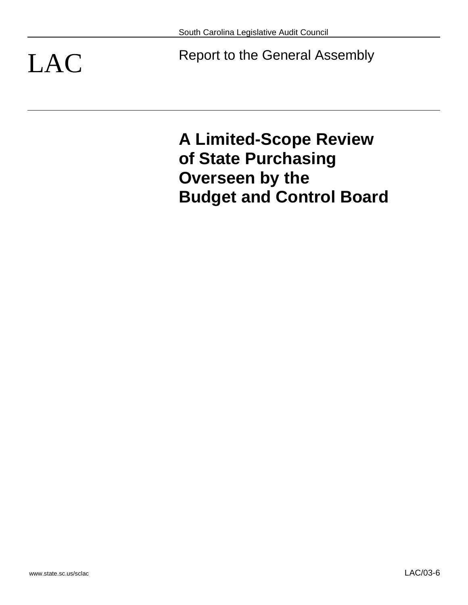LAC Report to the General Assembly

**A Limited-Scope Review of State Purchasing Overseen by the Budget and Control Board**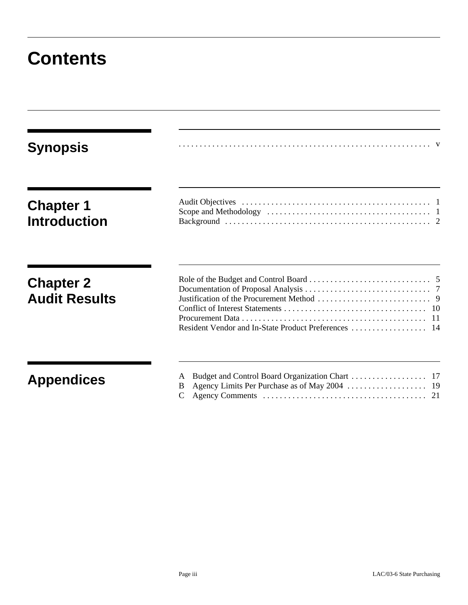## **Contents**

| <b>Synopsis</b>                          |   |
|------------------------------------------|---|
| <b>Chapter 1</b><br><b>Introduction</b>  |   |
| <b>Chapter 2</b><br><b>Audit Results</b> |   |
| <b>Appendices</b>                        | B |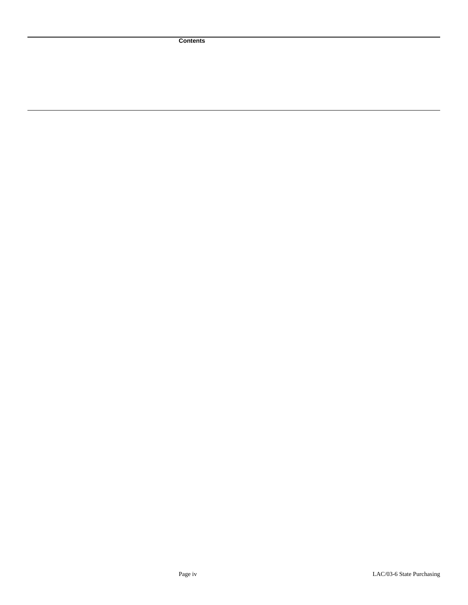**Contents**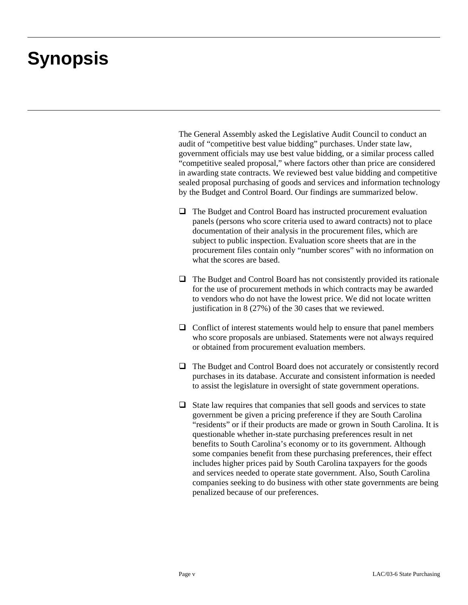## **Synopsis**

The General Assembly asked the Legislative Audit Council to conduct an audit of "competitive best value bidding" purchases. Under state law, government officials may use best value bidding, or a similar process called "competitive sealed proposal," where factors other than price are considered in awarding state contracts. We reviewed best value bidding and competitive sealed proposal purchasing of goods and services and information technology by the Budget and Control Board. Our findings are summarized below.

- $\Box$  The Budget and Control Board has instructed procurement evaluation panels (persons who score criteria used to award contracts) not to place documentation of their analysis in the procurement files, which are subject to public inspection. Evaluation score sheets that are in the procurement files contain only "number scores" with no information on what the scores are based.
- The Budget and Control Board has not consistently provided its rationale for the use of procurement methods in which contracts may be awarded to vendors who do not have the lowest price. We did not locate written justification in 8 (27%) of the 30 cases that we reviewed.
- $\Box$  Conflict of interest statements would help to ensure that panel members who score proposals are unbiased. Statements were not always required or obtained from procurement evaluation members.
- The Budget and Control Board does not accurately or consistently record purchases in its database. Accurate and consistent information is needed to assist the legislature in oversight of state government operations.
- $\Box$  State law requires that companies that sell goods and services to state government be given a pricing preference if they are South Carolina "residents" or if their products are made or grown in South Carolina. It is questionable whether in-state purchasing preferences result in net benefits to South Carolina's economy or to its government. Although some companies benefit from these purchasing preferences, their effect includes higher prices paid by South Carolina taxpayers for the goods and services needed to operate state government. Also, South Carolina companies seeking to do business with other state governments are being penalized because of our preferences.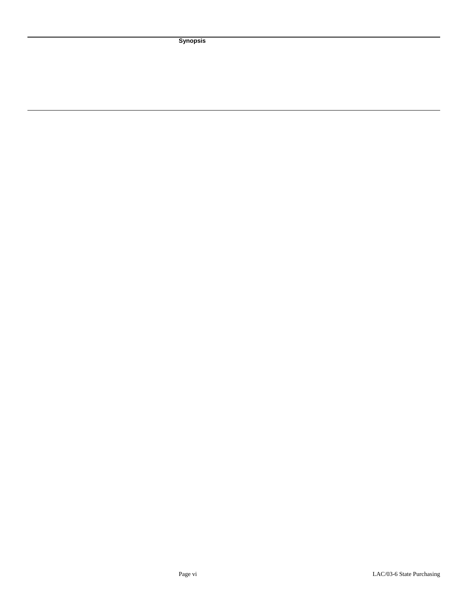**Synopsis**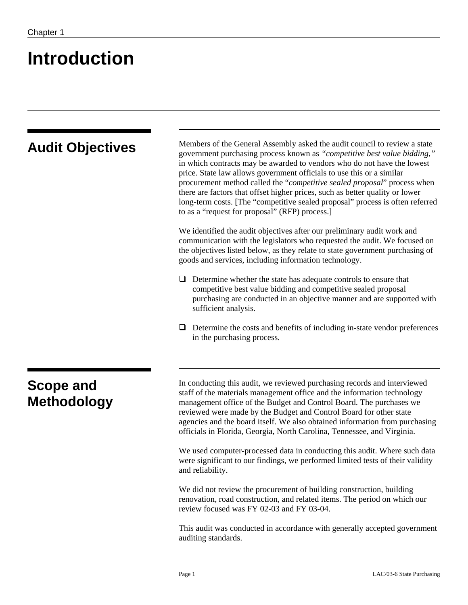## **Introduction**

| <b>Audit Objectives</b>         | Members of the General Assembly asked the audit council to review a state<br>government purchasing process known as "competitive best value bidding,"<br>in which contracts may be awarded to vendors who do not have the lowest<br>price. State law allows government officials to use this or a similar<br>procurement method called the "competitive sealed proposal" process when<br>there are factors that offset higher prices, such as better quality or lower<br>long-term costs. [The "competitive sealed proposal" process is often referred<br>to as a "request for proposal" (RFP) process.] |  |  |
|---------------------------------|----------------------------------------------------------------------------------------------------------------------------------------------------------------------------------------------------------------------------------------------------------------------------------------------------------------------------------------------------------------------------------------------------------------------------------------------------------------------------------------------------------------------------------------------------------------------------------------------------------|--|--|
|                                 | We identified the audit objectives after our preliminary audit work and<br>communication with the legislators who requested the audit. We focused on<br>the objectives listed below, as they relate to state government purchasing of<br>goods and services, including information technology.                                                                                                                                                                                                                                                                                                           |  |  |
|                                 | Determine whether the state has adequate controls to ensure that<br>⊔<br>competitive best value bidding and competitive sealed proposal<br>purchasing are conducted in an objective manner and are supported with<br>sufficient analysis.                                                                                                                                                                                                                                                                                                                                                                |  |  |
|                                 | Determine the costs and benefits of including in-state vendor preferences<br>⊔<br>in the purchasing process.                                                                                                                                                                                                                                                                                                                                                                                                                                                                                             |  |  |
| Scope and<br><b>Methodology</b> | In conducting this audit, we reviewed purchasing records and interviewed<br>staff of the materials management office and the information technology<br>management office of the Budget and Control Board. The purchases we<br>reviewed were made by the Budget and Control Board for other state<br>agencies and the board itself. We also obtained information from purchasing<br>officials in Florida, Georgia, North Carolina, Tennessee, and Virginia.                                                                                                                                               |  |  |
|                                 | We used computer-processed data in conducting this audit. Where such data<br>were significant to our findings, we performed limited tests of their validity<br>and reliability.                                                                                                                                                                                                                                                                                                                                                                                                                          |  |  |
|                                 | We did not review the procurement of building construction, building<br>renovation, road construction, and related items. The period on which our<br>review focused was FY 02-03 and FY 03-04.                                                                                                                                                                                                                                                                                                                                                                                                           |  |  |
|                                 | This audit was conducted in accordance with generally accepted government<br>auditing standards.                                                                                                                                                                                                                                                                                                                                                                                                                                                                                                         |  |  |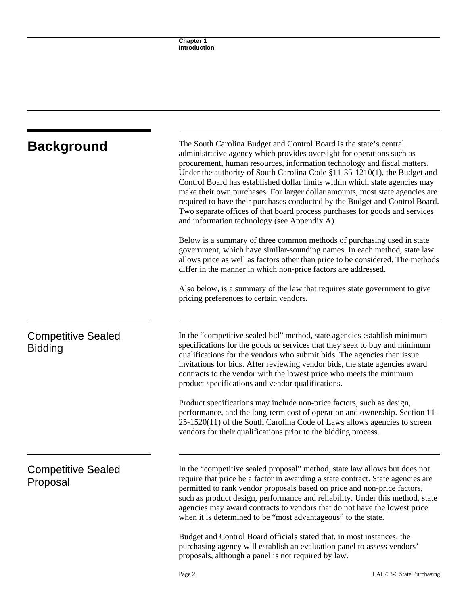| <b>Background</b>                           | The South Carolina Budget and Control Board is the state's central<br>administrative agency which provides oversight for operations such as<br>procurement, human resources, information technology and fiscal matters.<br>Under the authority of South Carolina Code §11-35-1210(1), the Budget and<br>Control Board has established dollar limits within which state agencies may<br>make their own purchases. For larger dollar amounts, most state agencies are<br>required to have their purchases conducted by the Budget and Control Board.<br>Two separate offices of that board process purchases for goods and services<br>and information technology (see Appendix A). |  |
|---------------------------------------------|-----------------------------------------------------------------------------------------------------------------------------------------------------------------------------------------------------------------------------------------------------------------------------------------------------------------------------------------------------------------------------------------------------------------------------------------------------------------------------------------------------------------------------------------------------------------------------------------------------------------------------------------------------------------------------------|--|
|                                             | Below is a summary of three common methods of purchasing used in state<br>government, which have similar-sounding names. In each method, state law<br>allows price as well as factors other than price to be considered. The methods<br>differ in the manner in which non-price factors are addressed.                                                                                                                                                                                                                                                                                                                                                                            |  |
|                                             | Also below, is a summary of the law that requires state government to give<br>pricing preferences to certain vendors.                                                                                                                                                                                                                                                                                                                                                                                                                                                                                                                                                             |  |
| <b>Competitive Sealed</b><br><b>Bidding</b> | In the "competitive sealed bid" method, state agencies establish minimum<br>specifications for the goods or services that they seek to buy and minimum<br>qualifications for the vendors who submit bids. The agencies then issue<br>invitations for bids. After reviewing vendor bids, the state agencies award<br>contracts to the vendor with the lowest price who meets the minimum<br>product specifications and vendor qualifications.                                                                                                                                                                                                                                      |  |
|                                             | Product specifications may include non-price factors, such as design,<br>performance, and the long-term cost of operation and ownership. Section 11-<br>$25-1520(11)$ of the South Carolina Code of Laws allows agencies to screen<br>vendors for their qualifications prior to the bidding process.                                                                                                                                                                                                                                                                                                                                                                              |  |
| <b>Competitive Sealed</b><br>Proposal       | In the "competitive sealed proposal" method, state law allows but does not<br>require that price be a factor in awarding a state contract. State agencies are<br>permitted to rank vendor proposals based on price and non-price factors,<br>such as product design, performance and reliability. Under this method, state<br>agencies may award contracts to vendors that do not have the lowest price<br>when it is determined to be "most advantageous" to the state.                                                                                                                                                                                                          |  |
|                                             | Budget and Control Board officials stated that, in most instances, the<br>purchasing agency will establish an evaluation panel to assess vendors'<br>proposals, although a panel is not required by law.                                                                                                                                                                                                                                                                                                                                                                                                                                                                          |  |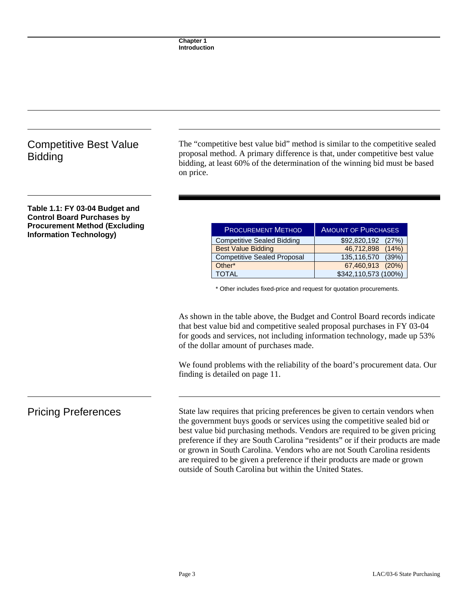### Competitive Best Value **Bidding**

The "competitive best value bid" method is similar to the competitive sealed proposal method. A primary difference is that, under competitive best value bidding, at least 60% of the determination of the winning bid must be based on price.

### **Table 1.1: FY 03-04 Budget and Control Board Purchases by Procurement Method (Excluding Information Technology)**

| <b>PROCUREMENT METHOD</b>          | <b>AMOUNT OF PURCHASES</b> |  |
|------------------------------------|----------------------------|--|
| <b>Competitive Sealed Bidding</b>  | \$92,820,192 (27%)         |  |
| <b>Best Value Bidding</b>          | 46,712,898 (14%)           |  |
| <b>Competitive Sealed Proposal</b> | 135,116,570 (39%)          |  |
| Other*                             | 67,460,913 (20%)           |  |
| <b>TOTAL</b>                       | \$342,110,573 (100%)       |  |

\* Other includes fixed-price and request for quotation procurements.

As shown in the table above, the Budget and Control Board records indicate that best value bid and competitive sealed proposal purchases in FY 03-04 for goods and services, not including information technology, made up 53% of the dollar amount of purchases made.

We found problems with the reliability of the board's procurement data. Our finding is detailed on page 11.

Pricing Preferences State law requires that pricing preferences be given to certain vendors when the government buys goods or services using the competitive sealed bid or best value bid purchasing methods. Vendors are required to be given pricing preference if they are South Carolina "residents" or if their products are made or grown in South Carolina. Vendors who are not South Carolina residents are required to be given a preference if their products are made or grown outside of South Carolina but within the United States.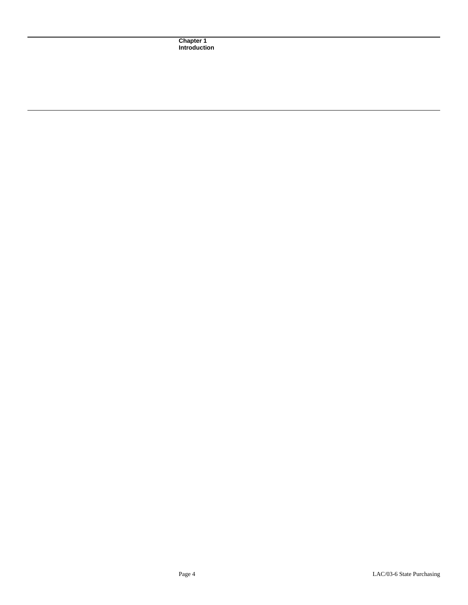**Chapter 1 Introduction**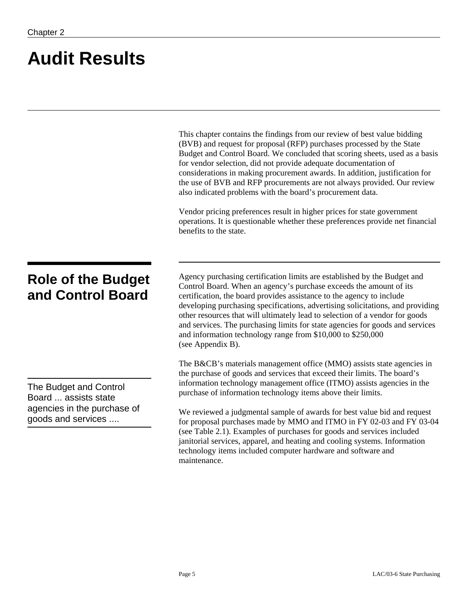# **Audit Results**

|                                                                                                     | This chapter contains the findings from our review of best value bidding<br>(BVB) and request for proposal (RFP) purchases processed by the State<br>Budget and Control Board. We concluded that scoring sheets, used as a basis<br>for vendor selection, did not provide adequate documentation of<br>considerations in making procurement awards. In addition, justification for<br>the use of BVB and RFP procurements are not always provided. Our review<br>also indicated problems with the board's procurement data.<br>Vendor pricing preferences result in higher prices for state government<br>operations. It is questionable whether these preferences provide net financial<br>benefits to the state. |
|-----------------------------------------------------------------------------------------------------|--------------------------------------------------------------------------------------------------------------------------------------------------------------------------------------------------------------------------------------------------------------------------------------------------------------------------------------------------------------------------------------------------------------------------------------------------------------------------------------------------------------------------------------------------------------------------------------------------------------------------------------------------------------------------------------------------------------------|
| <b>Role of the Budget</b><br>and Control Board                                                      | Agency purchasing certification limits are established by the Budget and<br>Control Board. When an agency's purchase exceeds the amount of its<br>certification, the board provides assistance to the agency to include<br>developing purchasing specifications, advertising solicitations, and providing<br>other resources that will ultimately lead to selection of a vendor for goods<br>and services. The purchasing limits for state agencies for goods and services<br>and information technology range from \$10,000 to \$250,000<br>(see Appendix B).                                                                                                                                                     |
| The Budget and Control<br>Board  assists state<br>agencies in the purchase of<br>goods and services | The B&CB's materials management office (MMO) assists state agencies in<br>the purchase of goods and services that exceed their limits. The board's<br>information technology management office (ITMO) assists agencies in the<br>purchase of information technology items above their limits.<br>We reviewed a judgmental sample of awards for best value bid and request<br>for proposal purchases made by MMO and ITMO in FY 02-03 and FY 03-04<br>(see Table 2.1). Examples of purchases for goods and services included<br>janitorial services, apparel, and heating and cooling systems. Information<br>technology items included computer hardware and software and<br>maintenance.                          |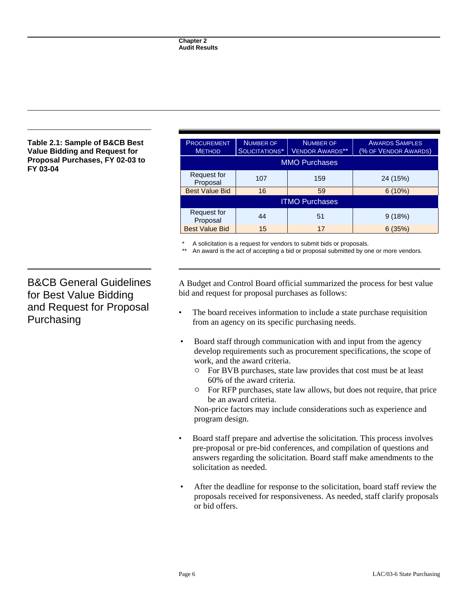### **Table 2.1: Sample of B&CB Best Value Bidding and Request for Proposal Purchases, FY 02-03 to FY 03-04**

| <b>PROCUREMENT</b>      | <b>NUMBER OF</b> | <b>NUMBER OF</b>       | <b>AWARDS SAMPLES</b> |
|-------------------------|------------------|------------------------|-----------------------|
| <b>METHOD</b>           | SOLICITATIONS*   | <b>VENDOR AWARDS**</b> | (% OF VENDOR AWARDS)  |
| <b>MMO Purchases</b>    |                  |                        |                       |
| Request for<br>Proposal | 107              | 159                    | 24 (15%)              |
| <b>Best Value Bid</b>   | 16               | 59                     | 6(10%)                |
| <b>ITMO Purchases</b>   |                  |                        |                       |
| Request for<br>Proposal | 44               | 51                     | 9(18%)                |
| <b>Best Value Bid</b>   | 15               | 17                     | 6(35%)                |

A solicitation is a request for vendors to submit bids or proposals.

An award is the act of accepting a bid or proposal submitted by one or more vendors.

B&CB General Guidelines for Best Value Bidding and Request for Proposal Purchasing

A Budget and Control Board official summarized the process for best value bid and request for proposal purchases as follows:

- The board receives information to include a state purchase requisition from an agency on its specific purchasing needs.
- Board staff through communication with and input from the agency develop requirements such as procurement specifications, the scope of work, and the award criteria.
	- $\circ$  For BVB purchases, state law provides that cost must be at least 60% of the award criteria.
	- $\circ$  For RFP purchases, state law allows, but does not require, that price be an award criteria.

Non-price factors may include considerations such as experience and program design.

- Board staff prepare and advertise the solicitation. This process involves pre-proposal or pre-bid conferences, and compilation of questions and answers regarding the solicitation. Board staff make amendments to the solicitation as needed.
- After the deadline for response to the solicitation, board staff review the proposals received for responsiveness. As needed, staff clarify proposals or bid offers.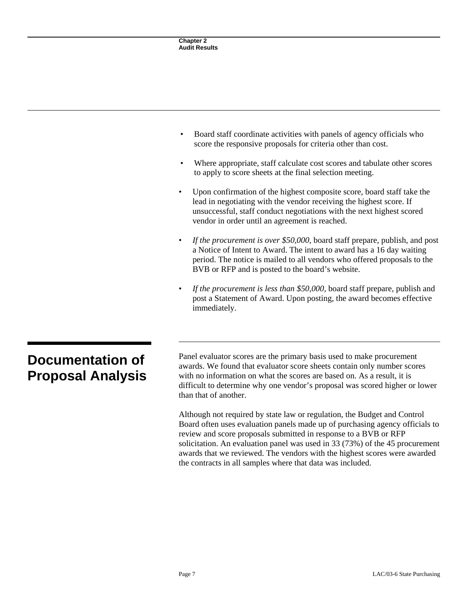| <b>Chapter 2</b><br><b>Audit Results</b>                                                                                                                                                                                                                                             |
|--------------------------------------------------------------------------------------------------------------------------------------------------------------------------------------------------------------------------------------------------------------------------------------|
|                                                                                                                                                                                                                                                                                      |
|                                                                                                                                                                                                                                                                                      |
|                                                                                                                                                                                                                                                                                      |
| Board staff coordinate activities with panels of agency officials who<br>score the responsive proposals for criteria other than cost.                                                                                                                                                |
| Where appropriate, staff calculate cost scores and tabulate other scores<br>to apply to score sheets at the final selection meeting.                                                                                                                                                 |
| Upon confirmation of the highest composite score, board staff take the<br>lead in negotiating with the vendor receiving the highest score. If<br>unsuccessful, staff conduct negotiations with the next highest scored<br>vendor in order until an agreement is reached.             |
| If the procurement is over \$50,000, board staff prepare, publish, and post<br>a Notice of Intent to Award. The intent to award has a 16 day waiting<br>period. The notice is mailed to all vendors who offered proposals to the<br>BVB or RFP and is posted to the board's website. |
| If the procurement is less than \$50,000, board staff prepare, publish and<br>post a Statement of Award. Upon posting, the award becomes effective<br>immediately.                                                                                                                   |

## **Documentation of Proposal Analysis**

Panel evaluator scores are the primary basis used to make procurement awards. We found that evaluator score sheets contain only number scores with no information on what the scores are based on. As a result, it is difficult to determine why one vendor's proposal was scored higher or lower than that of another.

Although not required by state law or regulation, the Budget and Control Board often uses evaluation panels made up of purchasing agency officials to review and score proposals submitted in response to a BVB or RFP solicitation. An evaluation panel was used in 33 (73%) of the 45 procurement awards that we reviewed. The vendors with the highest scores were awarded the contracts in all samples where that data was included.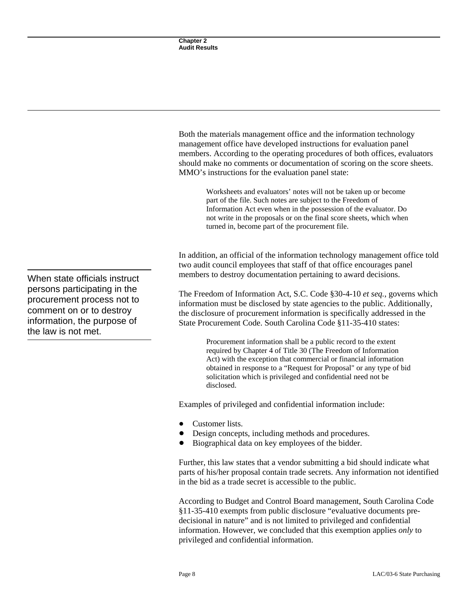Both the materials management office and the information technology management office have developed instructions for evaluation panel members. According to the operating procedures of both offices, evaluators should make no comments or documentation of scoring on the score sheets. MMO's instructions for the evaluation panel state:

> Worksheets and evaluators' notes will not be taken up or become part of the file. Such notes are subject to the Freedom of Information Act even when in the possession of the evaluator. Do not write in the proposals or on the final score sheets, which when turned in, become part of the procurement file.

In addition, an official of the information technology management office told two audit council employees that staff of that office encourages panel members to destroy documentation pertaining to award decisions.

The Freedom of Information Act, S.C. Code §30-4-10 *et seq.*, governs which information must be disclosed by state agencies to the public. Additionally, the disclosure of procurement information is specifically addressed in the State Procurement Code. South Carolina Code §11-35-410 states:

> Procurement information shall be a public record to the extent required by Chapter 4 of Title 30 (The Freedom of Information Act) with the exception that commercial or financial information obtained in response to a "Request for Proposal" or any type of bid solicitation which is privileged and confidential need not be disclosed.

Examples of privileged and confidential information include:

- Customer lists.
- Design concepts, including methods and procedures.
- ! Biographical data on key employees of the bidder.

Further, this law states that a vendor submitting a bid should indicate what parts of his/her proposal contain trade secrets. Any information not identified in the bid as a trade secret is accessible to the public.

According to Budget and Control Board management, South Carolina Code §11-35-410 exempts from public disclosure "evaluative documents predecisional in nature" and is not limited to privileged and confidential information. However, we concluded that this exemption applies *only* to privileged and confidential information.

When state officials instruct persons participating in the procurement process not to comment on or to destroy information, the purpose of the law is not met.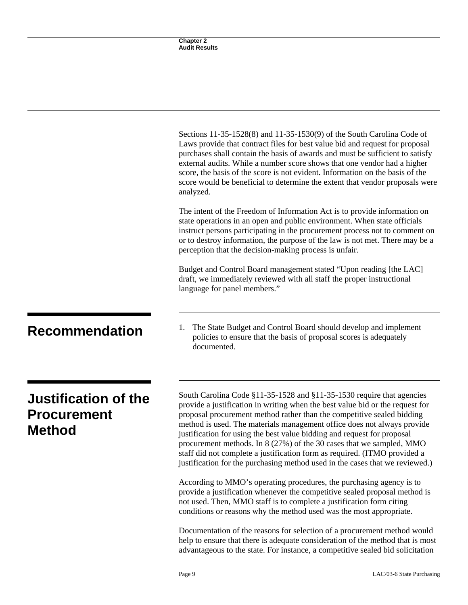|                                                                    | <b>Chapter 2</b><br><b>Audit Results</b>                                                                                                                                                                                                                                                                                                                                                                                                                                                                                                                                                                                    |
|--------------------------------------------------------------------|-----------------------------------------------------------------------------------------------------------------------------------------------------------------------------------------------------------------------------------------------------------------------------------------------------------------------------------------------------------------------------------------------------------------------------------------------------------------------------------------------------------------------------------------------------------------------------------------------------------------------------|
|                                                                    |                                                                                                                                                                                                                                                                                                                                                                                                                                                                                                                                                                                                                             |
|                                                                    |                                                                                                                                                                                                                                                                                                                                                                                                                                                                                                                                                                                                                             |
|                                                                    |                                                                                                                                                                                                                                                                                                                                                                                                                                                                                                                                                                                                                             |
|                                                                    |                                                                                                                                                                                                                                                                                                                                                                                                                                                                                                                                                                                                                             |
|                                                                    |                                                                                                                                                                                                                                                                                                                                                                                                                                                                                                                                                                                                                             |
|                                                                    |                                                                                                                                                                                                                                                                                                                                                                                                                                                                                                                                                                                                                             |
|                                                                    | Sections 11-35-1528(8) and 11-35-1530(9) of the South Carolina Code of<br>Laws provide that contract files for best value bid and request for proposal<br>purchases shall contain the basis of awards and must be sufficient to satisfy<br>external audits. While a number score shows that one vendor had a higher<br>score, the basis of the score is not evident. Information on the basis of the<br>score would be beneficial to determine the extent that vendor proposals were<br>analyzed.                                                                                                                           |
|                                                                    | The intent of the Freedom of Information Act is to provide information on<br>state operations in an open and public environment. When state officials<br>instruct persons participating in the procurement process not to comment on<br>or to destroy information, the purpose of the law is not met. There may be a<br>perception that the decision-making process is unfair.                                                                                                                                                                                                                                              |
|                                                                    | Budget and Control Board management stated "Upon reading [the LAC]<br>draft, we immediately reviewed with all staff the proper instructional<br>language for panel members."                                                                                                                                                                                                                                                                                                                                                                                                                                                |
| <b>Recommendation</b>                                              | The State Budget and Control Board should develop and implement<br>1.<br>policies to ensure that the basis of proposal scores is adequately<br>documented.                                                                                                                                                                                                                                                                                                                                                                                                                                                                  |
| <b>Justification of the</b><br><b>Procurement</b><br><b>Method</b> | South Carolina Code §11-35-1528 and §11-35-1530 require that agencies<br>provide a justification in writing when the best value bid or the request for<br>proposal procurement method rather than the competitive sealed bidding<br>method is used. The materials management office does not always provide<br>justification for using the best value bidding and request for proposal<br>procurement methods. In 8 (27%) of the 30 cases that we sampled, MMO<br>staff did not complete a justification form as required. (ITMO provided a<br>justification for the purchasing method used in the cases that we reviewed.) |
|                                                                    | According to MMO's operating procedures, the purchasing agency is to<br>provide a justification whenever the competitive sealed proposal method is<br>not used. Then, MMO staff is to complete a justification form citing<br>conditions or reasons why the method used was the most appropriate.                                                                                                                                                                                                                                                                                                                           |
|                                                                    | Documentation of the reasons for selection of a procurement method would<br>help to ensure that there is adequate consideration of the method that is most                                                                                                                                                                                                                                                                                                                                                                                                                                                                  |

advantageous to the state. For instance, a competitive sealed bid solicitation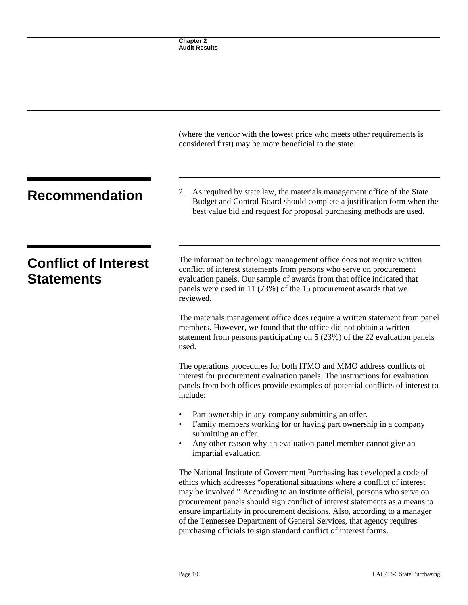|                                                  | (where the vendor with the lowest price who meets other requirements is<br>considered first) may be more beneficial to the state.                                                                                                                                                                                                                                                                                                                                                                                                                |  |
|--------------------------------------------------|--------------------------------------------------------------------------------------------------------------------------------------------------------------------------------------------------------------------------------------------------------------------------------------------------------------------------------------------------------------------------------------------------------------------------------------------------------------------------------------------------------------------------------------------------|--|
| <b>Recommendation</b>                            | As required by state law, the materials management office of the State<br>2.<br>Budget and Control Board should complete a justification form when the<br>best value bid and request for proposal purchasing methods are used.                                                                                                                                                                                                                                                                                                                   |  |
| <b>Conflict of Interest</b><br><b>Statements</b> | The information technology management office does not require written<br>conflict of interest statements from persons who serve on procurement<br>evaluation panels. Our sample of awards from that office indicated that<br>panels were used in 11 (73%) of the 15 procurement awards that we<br>reviewed.                                                                                                                                                                                                                                      |  |
|                                                  | The materials management office does require a written statement from panel<br>members. However, we found that the office did not obtain a written<br>statement from persons participating on 5 (23%) of the 22 evaluation panels<br>used.                                                                                                                                                                                                                                                                                                       |  |
|                                                  | The operations procedures for both ITMO and MMO address conflicts of<br>interest for procurement evaluation panels. The instructions for evaluation<br>panels from both offices provide examples of potential conflicts of interest to<br>include:                                                                                                                                                                                                                                                                                               |  |
|                                                  | Part ownership in any company submitting an offer.<br>Family members working for or having part ownership in a company<br>submitting an offer.<br>Any other reason why an evaluation panel member cannot give an<br>impartial evaluation.                                                                                                                                                                                                                                                                                                        |  |
|                                                  | The National Institute of Government Purchasing has developed a code of<br>ethics which addresses "operational situations where a conflict of interest<br>may be involved." According to an institute official, persons who serve on<br>procurement panels should sign conflict of interest statements as a means to<br>ensure impartiality in procurement decisions. Also, according to a manager<br>of the Tennessee Department of General Services, that agency requires<br>purchasing officials to sign standard conflict of interest forms. |  |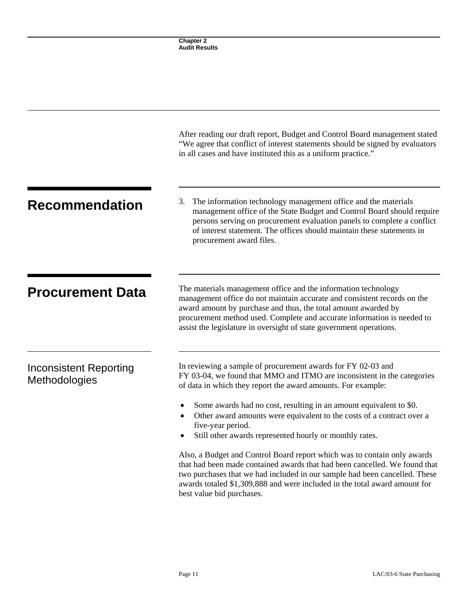|                                                | <b>Chapter 2</b><br><b>Audit Results</b>                                                                                                                                                                                                                                                                                                                       |
|------------------------------------------------|----------------------------------------------------------------------------------------------------------------------------------------------------------------------------------------------------------------------------------------------------------------------------------------------------------------------------------------------------------------|
|                                                |                                                                                                                                                                                                                                                                                                                                                                |
|                                                | After reading our draft report, Budget and Control Board management stated<br>"We agree that conflict of interest statements should be signed by evaluators<br>in all cases and have instituted this as a uniform practice."                                                                                                                                   |
| <b>Recommendation</b>                          | The information technology management office and the materials<br>3.<br>management office of the State Budget and Control Board should require<br>persons serving on procurement evaluation panels to complete a conflict<br>of interest statement. The offices should maintain these statements in<br>procurement award files.                                |
| <b>Procurement Data</b>                        | The materials management office and the information technology<br>management office do not maintain accurate and consistent records on the<br>award amount by purchase and thus, the total amount awarded by<br>procurement method used. Complete and accurate information is needed to<br>assist the legislature in oversight of state government operations. |
| <b>Inconsistent Reporting</b><br>Methodologies | In reviewing a sample of procurement awards for FY 02-03 and<br>FY 03-04, we found that MMO and ITMO are inconsistent in the categories<br>of data in which they report the award amounts. For example:                                                                                                                                                        |
|                                                | Some awards had no cost, resulting in an amount equivalent to \$0.<br>Other award amounts were equivalent to the costs of a contract over a<br>five-year period.<br>Still other awards represented hourly or monthly rates.                                                                                                                                    |
|                                                | Also, a Budget and Control Board report which was to contain only awards<br>that had been made contained awards that had been cancelled. We found that<br>two purchases that we had included in our sample had been cancelled. These<br>awards totaled \$1,309,888 and were included in the total award amount for<br>best value bid purchases.                |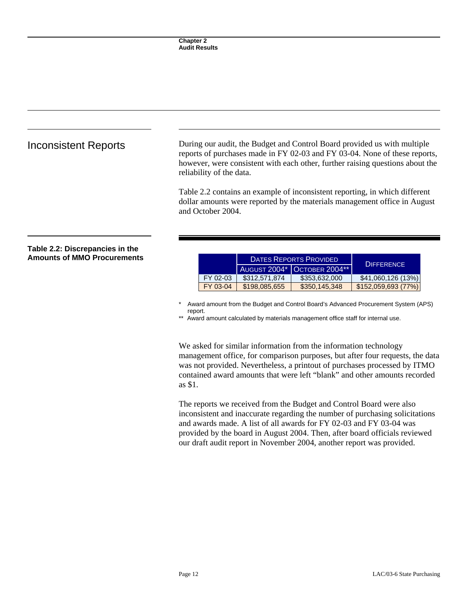Inconsistent Reports During our audit, the Budget and Control Board provided us with multiple reports of purchases made in FY 02-03 and FY 03-04. None of these reports, however, were consistent with each other, further raising questions about the reliability of the data.

> Table 2.2 contains an example of inconsistent reporting, in which different dollar amounts were reported by the materials management office in August and October 2004.

### **Table 2.2: Discrepancies in the Amounts of MMO Procurements**

|          | DATES REPORTS PROVIDED. |                             | <b>DIFFERENCE</b>   |
|----------|-------------------------|-----------------------------|---------------------|
|          |                         | AUGUST 2004* OCTOBER 2004** |                     |
| FY 02-03 | \$312,571,874           | \$353,632,000               | \$41,060,126 (13%)  |
| FY 03-04 | \$198,085,655           | \$350,145,348               | \$152,059,693 (77%) |

Award amount from the Budget and Control Board's Advanced Procurement System (APS) report.

\*\* Award amount calculated by materials management office staff for internal use.

We asked for similar information from the information technology management office, for comparison purposes, but after four requests, the data was not provided. Nevertheless, a printout of purchases processed by ITMO contained award amounts that were left "blank" and other amounts recorded as \$1.

The reports we received from the Budget and Control Board were also inconsistent and inaccurate regarding the number of purchasing solicitations and awards made. A list of all awards for FY 02-03 and FY 03-04 was provided by the board in August 2004. Then, after board officials reviewed our draft audit report in November 2004, another report was provided.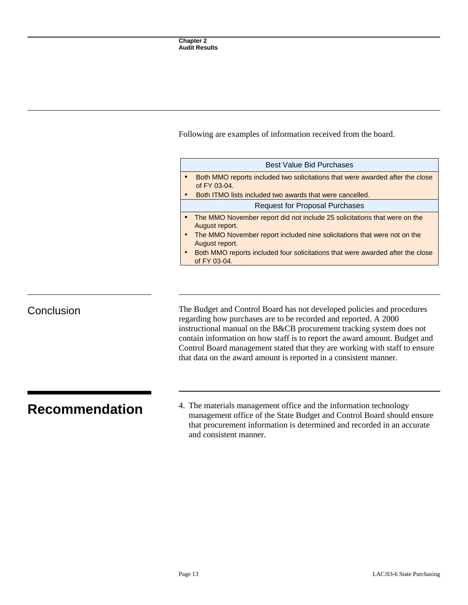Following are examples of information received from the board.

| <b>Best Value Bid Purchases</b>                                                                 |
|-------------------------------------------------------------------------------------------------|
| Both MMO reports included two solicitations that were awarded after the close<br>of $FY$ 03-04. |
| Both ITMO lists included two awards that were cancelled.                                        |
| <b>Request for Proposal Purchases</b>                                                           |
| • The MMO November report did not include 25 solicitations that were on the<br>August report.   |
| The MMO November report included nine solicitations that were not on the<br>August report.      |
| Both MMO reports included four solicitations that were awarded after the close<br>of FY 03-04.  |
|                                                                                                 |

Conclusion The Budget and Control Board has not developed policies and procedures regarding how purchases are to be recorded and reported. A 2000 instructional manual on the B&CB procurement tracking system does not contain information on how staff is to report the award amount. Budget and Control Board management stated that they are working with staff to ensure that data on the award amount is reported in a consistent manner.

**Recommendation** 4. The materials management office and the information technology management office of the State Budget and Control Board should ensure that procurement information is determined and recorded in an accurate and consistent manner.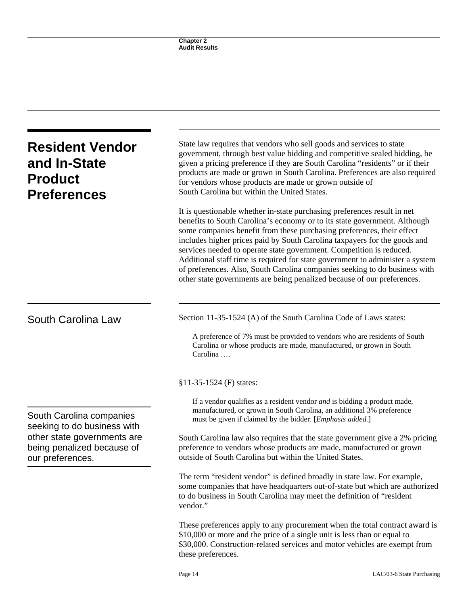| <b>Resident Vendor</b><br>and In-State<br><b>Product</b><br><b>Preferences</b> | State law requires that vendors who sell goods and services to state<br>government, through best value bidding and competitive sealed bidding, be<br>given a pricing preference if they are South Carolina "residents" or if their<br>products are made or grown in South Carolina. Preferences are also required<br>for vendors whose products are made or grown outside of<br>South Carolina but within the United States.                                                                                                                                                                                                   |  |  |
|--------------------------------------------------------------------------------|--------------------------------------------------------------------------------------------------------------------------------------------------------------------------------------------------------------------------------------------------------------------------------------------------------------------------------------------------------------------------------------------------------------------------------------------------------------------------------------------------------------------------------------------------------------------------------------------------------------------------------|--|--|
|                                                                                | It is questionable whether in-state purchasing preferences result in net<br>benefits to South Carolina's economy or to its state government. Although<br>some companies benefit from these purchasing preferences, their effect<br>includes higher prices paid by South Carolina taxpayers for the goods and<br>services needed to operate state government. Competition is reduced.<br>Additional staff time is required for state government to administer a system<br>of preferences. Also, South Carolina companies seeking to do business with<br>other state governments are being penalized because of our preferences. |  |  |
| South Carolina Law                                                             | Section 11-35-1524 (A) of the South Carolina Code of Laws states:                                                                                                                                                                                                                                                                                                                                                                                                                                                                                                                                                              |  |  |
|                                                                                | A preference of 7% must be provided to vendors who are residents of South<br>Carolina or whose products are made, manufactured, or grown in South<br>Carolina                                                                                                                                                                                                                                                                                                                                                                                                                                                                  |  |  |
|                                                                                | $$11-35-1524$ (F) states:                                                                                                                                                                                                                                                                                                                                                                                                                                                                                                                                                                                                      |  |  |
| South Carolina companies<br>seeking to do business with                        | If a vendor qualifies as a resident vendor <i>and</i> is bidding a product made,<br>manufactured, or grown in South Carolina, an additional 3% preference<br>must be given if claimed by the bidder. [Emphasis added.]                                                                                                                                                                                                                                                                                                                                                                                                         |  |  |
| other state governments are<br>being penalized because of<br>our preferences.  | South Carolina law also requires that the state government give a 2% pricing<br>preference to vendors whose products are made, manufactured or grown<br>outside of South Carolina but within the United States.                                                                                                                                                                                                                                                                                                                                                                                                                |  |  |
|                                                                                | The term "resident vendor" is defined broadly in state law. For example,<br>some companies that have headquarters out-of-state but which are authorized<br>to do business in South Carolina may meet the definition of "resident"<br>vendor."                                                                                                                                                                                                                                                                                                                                                                                  |  |  |
|                                                                                | These preferences apply to any procurement when the total contract award is<br>\$10,000 or more and the price of a single unit is less than or equal to<br>\$30,000. Construction-related services and motor vehicles are exempt from<br>these preferences.                                                                                                                                                                                                                                                                                                                                                                    |  |  |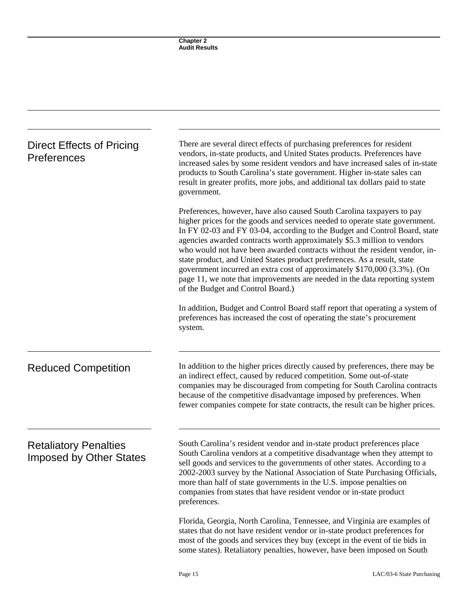| Direct Effects of Pricing<br>Preferences                       | There are several direct effects of purchasing preferences for resident<br>vendors, in-state products, and United States products. Preferences have<br>increased sales by some resident vendors and have increased sales of in-state<br>products to South Carolina's state government. Higher in-state sales can<br>result in greater profits, more jobs, and additional tax dollars paid to state<br>government.                                                                                                                                                                                                                                                        |  |
|----------------------------------------------------------------|--------------------------------------------------------------------------------------------------------------------------------------------------------------------------------------------------------------------------------------------------------------------------------------------------------------------------------------------------------------------------------------------------------------------------------------------------------------------------------------------------------------------------------------------------------------------------------------------------------------------------------------------------------------------------|--|
|                                                                | Preferences, however, have also caused South Carolina taxpayers to pay<br>higher prices for the goods and services needed to operate state government.<br>In FY 02-03 and FY 03-04, according to the Budget and Control Board, state<br>agencies awarded contracts worth approximately \$5.3 million to vendors<br>who would not have been awarded contracts without the resident vendor, in-<br>state product, and United States product preferences. As a result, state<br>government incurred an extra cost of approximately \$170,000 (3.3%). (On<br>page 11, we note that improvements are needed in the data reporting system<br>of the Budget and Control Board.) |  |
|                                                                | In addition, Budget and Control Board staff report that operating a system of<br>preferences has increased the cost of operating the state's procurement<br>system.                                                                                                                                                                                                                                                                                                                                                                                                                                                                                                      |  |
| <b>Reduced Competition</b>                                     | In addition to the higher prices directly caused by preferences, there may be<br>an indirect effect, caused by reduced competition. Some out-of-state<br>companies may be discouraged from competing for South Carolina contracts<br>because of the competitive disadvantage imposed by preferences. When<br>fewer companies compete for state contracts, the result can be higher prices.                                                                                                                                                                                                                                                                               |  |
| <b>Retaliatory Penalties</b><br><b>Imposed by Other States</b> | South Carolina's resident vendor and in-state product preferences place<br>South Carolina vendors at a competitive disadvantage when they attempt to<br>sell goods and services to the governments of other states. According to a<br>2002-2003 survey by the National Association of State Purchasing Officials,<br>more than half of state governments in the U.S. impose penalties on<br>companies from states that have resident vendor or in-state product<br>preferences.                                                                                                                                                                                          |  |
|                                                                | Florida, Georgia, North Carolina, Tennessee, and Virginia are examples of<br>states that do not have resident vendor or in-state product preferences for<br>most of the goods and services they buy (except in the event of tie bids in<br>some states). Retaliatory penalties, however, have been imposed on South                                                                                                                                                                                                                                                                                                                                                      |  |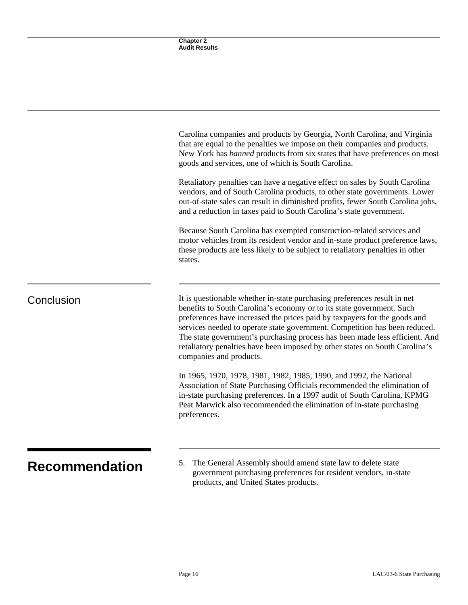|                       | Chapter 2<br><b>Audit Results</b>                                                                                                                                                                                                                                                                                                                                                                                                                                                                     |  |
|-----------------------|-------------------------------------------------------------------------------------------------------------------------------------------------------------------------------------------------------------------------------------------------------------------------------------------------------------------------------------------------------------------------------------------------------------------------------------------------------------------------------------------------------|--|
|                       |                                                                                                                                                                                                                                                                                                                                                                                                                                                                                                       |  |
|                       |                                                                                                                                                                                                                                                                                                                                                                                                                                                                                                       |  |
|                       | Carolina companies and products by Georgia, North Carolina, and Virginia<br>that are equal to the penalties we impose on their companies and products.<br>New York has banned products from six states that have preferences on most<br>goods and services, one of which is South Carolina.                                                                                                                                                                                                           |  |
|                       | Retaliatory penalties can have a negative effect on sales by South Carolina<br>vendors, and of South Carolina products, to other state governments. Lower<br>out-of-state sales can result in diminished profits, fewer South Carolina jobs,<br>and a reduction in taxes paid to South Carolina's state government.                                                                                                                                                                                   |  |
|                       | Because South Carolina has exempted construction-related services and<br>motor vehicles from its resident vendor and in-state product preference laws,<br>these products are less likely to be subject to retaliatory penalties in other<br>states.                                                                                                                                                                                                                                                   |  |
| Conclusion            | It is questionable whether in-state purchasing preferences result in net<br>benefits to South Carolina's economy or to its state government. Such<br>preferences have increased the prices paid by taxpayers for the goods and<br>services needed to operate state government. Competition has been reduced.<br>The state government's purchasing process has been made less efficient. And<br>retaliatory penalties have been imposed by other states on South Carolina's<br>companies and products. |  |
|                       | In 1965, 1970, 1978, 1981, 1982, 1985, 1990, and 1992, the National<br>Association of State Purchasing Officials recommended the elimination of<br>in-state purchasing preferences. In a 1997 audit of South Carolina, KPMG<br>Peat Marwick also recommended the elimination of in-state purchasing<br>preferences.                                                                                                                                                                                   |  |
| <b>Recommendation</b> | The General Assembly should amend state law to delete state<br>5.<br>government purchasing preferences for resident vendors, in-state<br>products, and United States products.                                                                                                                                                                                                                                                                                                                        |  |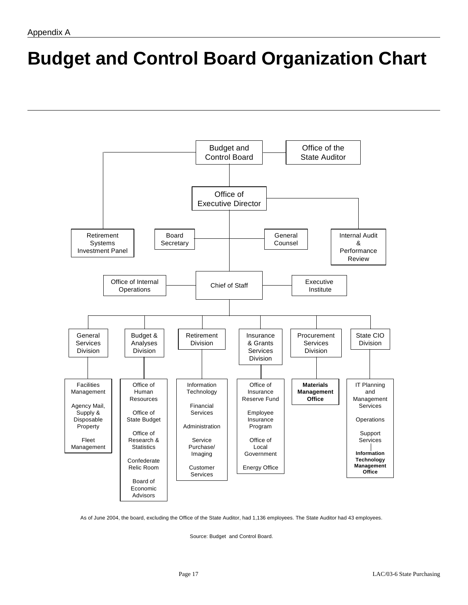# **Budget and Control Board Organization Chart**



As of June 2004, the board, excluding the Office of the State Auditor, had 1,136 employees. The State Auditor had 43 employees.

Source: Budget and Control Board.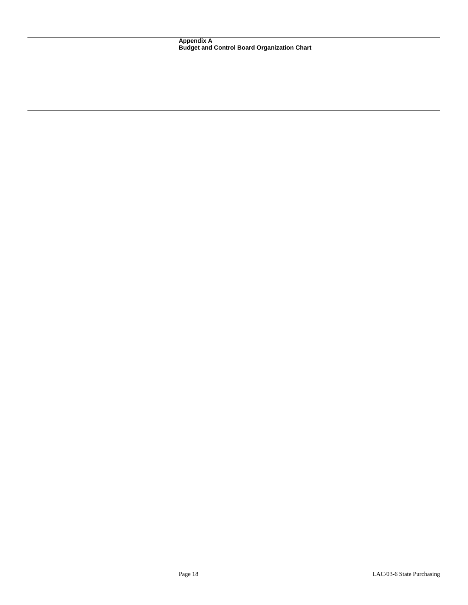**Appendix A Budget and Control Board Organization Chart**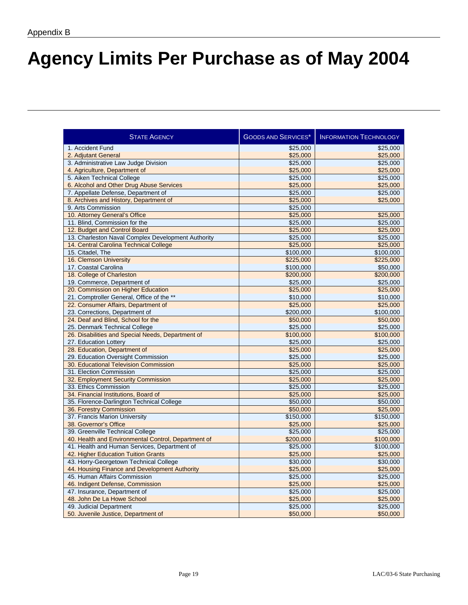## **Agency Limits Per Purchase as of May 2004**

| <b>STATE AGENCY</b>                                 | <b>GOODS AND SERVICES*</b> | <b>INFORMATION TECHNOLOGY</b> |
|-----------------------------------------------------|----------------------------|-------------------------------|
| 1. Accident Fund                                    | \$25,000                   | \$25,000                      |
| 2. Adjutant General                                 | \$25,000                   | \$25,000                      |
| 3. Administrative Law Judge Division                | \$25,000                   | \$25,000                      |
| 4. Agriculture, Department of                       | \$25,000                   | \$25,000                      |
| 5. Aiken Technical College                          | \$25,000                   | \$25,000                      |
| 6. Alcohol and Other Drug Abuse Services            | \$25,000                   | \$25,000                      |
| 7. Appellate Defense, Department of                 | \$25,000                   | \$25,000                      |
| 8. Archives and History, Department of              | \$25,000                   | \$25,000                      |
| 9. Arts Commission                                  | \$25,000                   |                               |
| 10. Attorney General's Office                       | \$25,000                   | \$25,000                      |
| 11. Blind, Commission for the                       | \$25,000                   | \$25,000                      |
| 12. Budget and Control Board                        | \$25,000                   | \$25,000                      |
| 13. Charleston Naval Complex Development Authority  | \$25,000                   | \$25,000                      |
| 14. Central Carolina Technical College              | \$25,000                   | \$25,000                      |
| 15. Citadel, The                                    | \$100,000                  | \$100,000                     |
| 16. Clemson University                              | \$225,000                  | \$225,000                     |
| 17. Coastal Carolina                                | \$100,000                  | \$50,000                      |
| 18. College of Charleston                           | \$200,000                  | \$200,000                     |
| 19. Commerce, Department of                         | \$25,000                   | \$25,000                      |
| 20. Commission on Higher Education                  | \$25,000                   | \$25,000                      |
| 21. Comptroller General, Office of the **           | \$10,000                   | \$10,000                      |
| 22. Consumer Affairs, Department of                 | \$25,000                   | \$25,000                      |
| 23. Corrections, Department of                      | \$200,000                  | \$100,000                     |
| 24. Deaf and Blind, School for the                  | \$50,000                   | \$50,000                      |
| 25. Denmark Technical College                       | \$25,000                   | \$25,000                      |
| 26. Disabilities and Special Needs, Department of   | \$100,000                  | \$100,000                     |
| 27. Education Lottery                               | \$25,000                   | \$25,000                      |
| 28. Education, Department of                        | \$25,000                   | \$25,000                      |
| 29. Education Oversight Commission                  | \$25,000                   | \$25,000                      |
| 30. Educational Television Commission               | \$25,000                   | \$25,000                      |
| 31. Election Commission                             | \$25,000                   | \$25,000                      |
| 32. Employment Security Commission                  | \$25,000                   | \$25,000                      |
| 33. Ethics Commission                               | \$25,000                   | \$25,000                      |
| 34. Financial Institutions, Board of                | \$25,000                   | \$25,000                      |
| 35. Florence-Darlington Technical College           | \$50,000                   | \$50,000                      |
| 36. Forestry Commission                             | \$50,000                   | \$25,000                      |
| 37. Francis Marion University                       | \$150,000                  | \$150,000                     |
| 38. Governor's Office                               | \$25,000                   | \$25,000                      |
| 39. Greenville Technical College                    | \$25,000                   | \$25,000                      |
| 40. Health and Environmental Control, Department of | \$200,000                  | \$100,000                     |
| 41. Health and Human Services, Department of        | \$25,000                   | \$100,000                     |
| 42. Higher Education Tuition Grants                 | \$25,000                   | \$25,000                      |
| 43. Horry-Georgetown Technical College              | \$30,000                   | \$30,000                      |
| 44. Housing Finance and Development Authority       | \$25,000                   | \$25,000                      |
| 45. Human Affairs Commission                        | \$25,000                   | \$25,000                      |
| 46. Indigent Defense, Commission                    | \$25,000                   | \$25,000                      |
| 47. Insurance, Department of                        | \$25,000                   | \$25,000                      |
| 48. John De La Howe School                          | \$25,000                   | \$25,000                      |
| 49. Judicial Department                             | \$25,000                   | \$25,000                      |
| 50. Juvenile Justice, Department of                 | \$50,000                   | \$50,000                      |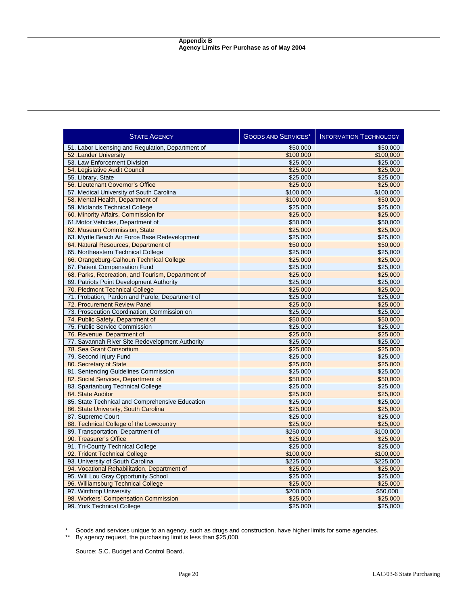| \$50,000<br>51. Labor Licensing and Regulation, Department of<br>\$50,000<br>\$100,000<br>\$100,000<br>52 .Lander University<br>53. Law Enforcement Division<br>\$25,000<br>\$25,000<br>\$25,000<br>\$25,000<br>54. Legislative Audit Council<br>55. Library, State<br>\$25,000<br>\$25,000<br>56. Lieutenant Governor's Office<br>\$25,000<br>\$25,000<br>57. Medical University of South Carolina<br>\$100,000<br>\$100,000<br>58. Mental Health, Department of<br>\$100,000<br>\$50,000<br>59. Midlands Technical College<br>\$25,000<br>\$25,000<br>60. Minority Affairs, Commission for<br>\$25,000<br>\$25,000<br>61. Motor Vehicles, Department of<br>\$50,000<br>\$50,000<br>62. Museum Commission, State<br>\$25,000<br>\$25,000<br>63. Myrtle Beach Air Force Base Redevelopment<br>\$25,000<br>\$25,000<br>64. Natural Resources, Department of<br>\$50,000<br>\$50,000<br>65. Northeastern Technical College<br>\$25,000<br>\$25,000<br>66. Orangeburg-Calhoun Technical College<br>\$25,000<br>\$25,000<br>67. Patient Compensation Fund<br>\$25,000<br>\$25,000<br>68. Parks, Recreation, and Tourism, Department of<br>\$25,000<br>\$25,000<br>69. Patriots Point Development Authority<br>\$25,000<br>\$25,000<br>70. Piedmont Technical College<br>\$25,000<br>\$25,000<br>71. Probation, Pardon and Parole, Department of<br>\$25,000<br>\$25,000<br>72. Procurement Review Panel<br>\$25,000<br>\$25,000<br>73. Prosecution Coordination, Commission on<br>\$25,000<br>\$25,000<br>74. Public Safety, Department of<br>\$50,000<br>\$50,000<br>75. Public Service Commission<br>\$25,000<br>\$25,000<br>76. Revenue, Department of<br>\$25,000<br>\$25,000<br>77. Savannah River Site Redevelopment Authority<br>\$25,000<br>\$25,000<br>78. Sea Grant Consortium<br>\$25,000<br>\$25,000<br>79. Second Injury Fund<br>\$25,000<br>\$25,000<br>80. Secretary of State<br>\$25,000<br>\$25,000<br>81. Sentencing Guidelines Commission<br>\$25,000<br>\$25,000<br>82. Social Services, Department of<br>\$50,000<br>\$50,000<br>83. Spartanburg Technical College<br>\$25,000<br>\$25,000<br>84. State Auditor<br>\$25,000<br>\$25,000<br>85. State Technical and Comprehensive Education<br>\$25,000<br>\$25,000<br>86. State University, South Carolina<br>\$25,000<br>\$25,000<br>87. Supreme Court<br>\$25,000<br>\$25,000<br>88. Technical College of the Lowcountry<br>\$25,000<br>\$25,000<br>89. Transportation, Department of<br>\$250,000<br>\$100,000<br>90. Treasurer's Office<br>\$25,000<br>\$25,000<br>91. Tri-County Technical College<br>\$25,000<br>\$25,000<br>92. Trident Technical College<br>\$100,000<br>\$100,000<br>93. University of South Carolina<br>\$225,000<br>\$225,000<br>94. Vocational Rehabilitation, Department of<br>\$25,000<br>\$25,000<br>95. Will Lou Gray Opportunity School<br>\$25,000<br>\$25,000<br>96. Williamsburg Technical College<br>\$25,000<br>\$25,000<br>97. Winthrop University<br>\$200,000<br>\$50,000<br>98. Workers' Compensation Commission<br>\$25,000<br>\$25,000<br>\$25,000<br>99. York Technical College<br>\$25,000 | <b>STATE AGENCY</b> | <b>GOODS AND SERVICES*</b> | <b>INFORMATION TECHNOLOGY</b> |
|-----------------------------------------------------------------------------------------------------------------------------------------------------------------------------------------------------------------------------------------------------------------------------------------------------------------------------------------------------------------------------------------------------------------------------------------------------------------------------------------------------------------------------------------------------------------------------------------------------------------------------------------------------------------------------------------------------------------------------------------------------------------------------------------------------------------------------------------------------------------------------------------------------------------------------------------------------------------------------------------------------------------------------------------------------------------------------------------------------------------------------------------------------------------------------------------------------------------------------------------------------------------------------------------------------------------------------------------------------------------------------------------------------------------------------------------------------------------------------------------------------------------------------------------------------------------------------------------------------------------------------------------------------------------------------------------------------------------------------------------------------------------------------------------------------------------------------------------------------------------------------------------------------------------------------------------------------------------------------------------------------------------------------------------------------------------------------------------------------------------------------------------------------------------------------------------------------------------------------------------------------------------------------------------------------------------------------------------------------------------------------------------------------------------------------------------------------------------------------------------------------------------------------------------------------------------------------------------------------------------------------------------------------------------------------------------------------------------------------------------------------------------------------------------------------------------------------------------------------------------------------------------------------------------------------------------------------------------------------------------------------------------------------------------------------------------------------------------------------------|---------------------|----------------------------|-------------------------------|
|                                                                                                                                                                                                                                                                                                                                                                                                                                                                                                                                                                                                                                                                                                                                                                                                                                                                                                                                                                                                                                                                                                                                                                                                                                                                                                                                                                                                                                                                                                                                                                                                                                                                                                                                                                                                                                                                                                                                                                                                                                                                                                                                                                                                                                                                                                                                                                                                                                                                                                                                                                                                                                                                                                                                                                                                                                                                                                                                                                                                                                                                                                           |                     |                            |                               |
|                                                                                                                                                                                                                                                                                                                                                                                                                                                                                                                                                                                                                                                                                                                                                                                                                                                                                                                                                                                                                                                                                                                                                                                                                                                                                                                                                                                                                                                                                                                                                                                                                                                                                                                                                                                                                                                                                                                                                                                                                                                                                                                                                                                                                                                                                                                                                                                                                                                                                                                                                                                                                                                                                                                                                                                                                                                                                                                                                                                                                                                                                                           |                     |                            |                               |
|                                                                                                                                                                                                                                                                                                                                                                                                                                                                                                                                                                                                                                                                                                                                                                                                                                                                                                                                                                                                                                                                                                                                                                                                                                                                                                                                                                                                                                                                                                                                                                                                                                                                                                                                                                                                                                                                                                                                                                                                                                                                                                                                                                                                                                                                                                                                                                                                                                                                                                                                                                                                                                                                                                                                                                                                                                                                                                                                                                                                                                                                                                           |                     |                            |                               |
|                                                                                                                                                                                                                                                                                                                                                                                                                                                                                                                                                                                                                                                                                                                                                                                                                                                                                                                                                                                                                                                                                                                                                                                                                                                                                                                                                                                                                                                                                                                                                                                                                                                                                                                                                                                                                                                                                                                                                                                                                                                                                                                                                                                                                                                                                                                                                                                                                                                                                                                                                                                                                                                                                                                                                                                                                                                                                                                                                                                                                                                                                                           |                     |                            |                               |
|                                                                                                                                                                                                                                                                                                                                                                                                                                                                                                                                                                                                                                                                                                                                                                                                                                                                                                                                                                                                                                                                                                                                                                                                                                                                                                                                                                                                                                                                                                                                                                                                                                                                                                                                                                                                                                                                                                                                                                                                                                                                                                                                                                                                                                                                                                                                                                                                                                                                                                                                                                                                                                                                                                                                                                                                                                                                                                                                                                                                                                                                                                           |                     |                            |                               |
|                                                                                                                                                                                                                                                                                                                                                                                                                                                                                                                                                                                                                                                                                                                                                                                                                                                                                                                                                                                                                                                                                                                                                                                                                                                                                                                                                                                                                                                                                                                                                                                                                                                                                                                                                                                                                                                                                                                                                                                                                                                                                                                                                                                                                                                                                                                                                                                                                                                                                                                                                                                                                                                                                                                                                                                                                                                                                                                                                                                                                                                                                                           |                     |                            |                               |
|                                                                                                                                                                                                                                                                                                                                                                                                                                                                                                                                                                                                                                                                                                                                                                                                                                                                                                                                                                                                                                                                                                                                                                                                                                                                                                                                                                                                                                                                                                                                                                                                                                                                                                                                                                                                                                                                                                                                                                                                                                                                                                                                                                                                                                                                                                                                                                                                                                                                                                                                                                                                                                                                                                                                                                                                                                                                                                                                                                                                                                                                                                           |                     |                            |                               |
|                                                                                                                                                                                                                                                                                                                                                                                                                                                                                                                                                                                                                                                                                                                                                                                                                                                                                                                                                                                                                                                                                                                                                                                                                                                                                                                                                                                                                                                                                                                                                                                                                                                                                                                                                                                                                                                                                                                                                                                                                                                                                                                                                                                                                                                                                                                                                                                                                                                                                                                                                                                                                                                                                                                                                                                                                                                                                                                                                                                                                                                                                                           |                     |                            |                               |
|                                                                                                                                                                                                                                                                                                                                                                                                                                                                                                                                                                                                                                                                                                                                                                                                                                                                                                                                                                                                                                                                                                                                                                                                                                                                                                                                                                                                                                                                                                                                                                                                                                                                                                                                                                                                                                                                                                                                                                                                                                                                                                                                                                                                                                                                                                                                                                                                                                                                                                                                                                                                                                                                                                                                                                                                                                                                                                                                                                                                                                                                                                           |                     |                            |                               |
|                                                                                                                                                                                                                                                                                                                                                                                                                                                                                                                                                                                                                                                                                                                                                                                                                                                                                                                                                                                                                                                                                                                                                                                                                                                                                                                                                                                                                                                                                                                                                                                                                                                                                                                                                                                                                                                                                                                                                                                                                                                                                                                                                                                                                                                                                                                                                                                                                                                                                                                                                                                                                                                                                                                                                                                                                                                                                                                                                                                                                                                                                                           |                     |                            |                               |
|                                                                                                                                                                                                                                                                                                                                                                                                                                                                                                                                                                                                                                                                                                                                                                                                                                                                                                                                                                                                                                                                                                                                                                                                                                                                                                                                                                                                                                                                                                                                                                                                                                                                                                                                                                                                                                                                                                                                                                                                                                                                                                                                                                                                                                                                                                                                                                                                                                                                                                                                                                                                                                                                                                                                                                                                                                                                                                                                                                                                                                                                                                           |                     |                            |                               |
|                                                                                                                                                                                                                                                                                                                                                                                                                                                                                                                                                                                                                                                                                                                                                                                                                                                                                                                                                                                                                                                                                                                                                                                                                                                                                                                                                                                                                                                                                                                                                                                                                                                                                                                                                                                                                                                                                                                                                                                                                                                                                                                                                                                                                                                                                                                                                                                                                                                                                                                                                                                                                                                                                                                                                                                                                                                                                                                                                                                                                                                                                                           |                     |                            |                               |
|                                                                                                                                                                                                                                                                                                                                                                                                                                                                                                                                                                                                                                                                                                                                                                                                                                                                                                                                                                                                                                                                                                                                                                                                                                                                                                                                                                                                                                                                                                                                                                                                                                                                                                                                                                                                                                                                                                                                                                                                                                                                                                                                                                                                                                                                                                                                                                                                                                                                                                                                                                                                                                                                                                                                                                                                                                                                                                                                                                                                                                                                                                           |                     |                            |                               |
|                                                                                                                                                                                                                                                                                                                                                                                                                                                                                                                                                                                                                                                                                                                                                                                                                                                                                                                                                                                                                                                                                                                                                                                                                                                                                                                                                                                                                                                                                                                                                                                                                                                                                                                                                                                                                                                                                                                                                                                                                                                                                                                                                                                                                                                                                                                                                                                                                                                                                                                                                                                                                                                                                                                                                                                                                                                                                                                                                                                                                                                                                                           |                     |                            |                               |
|                                                                                                                                                                                                                                                                                                                                                                                                                                                                                                                                                                                                                                                                                                                                                                                                                                                                                                                                                                                                                                                                                                                                                                                                                                                                                                                                                                                                                                                                                                                                                                                                                                                                                                                                                                                                                                                                                                                                                                                                                                                                                                                                                                                                                                                                                                                                                                                                                                                                                                                                                                                                                                                                                                                                                                                                                                                                                                                                                                                                                                                                                                           |                     |                            |                               |
|                                                                                                                                                                                                                                                                                                                                                                                                                                                                                                                                                                                                                                                                                                                                                                                                                                                                                                                                                                                                                                                                                                                                                                                                                                                                                                                                                                                                                                                                                                                                                                                                                                                                                                                                                                                                                                                                                                                                                                                                                                                                                                                                                                                                                                                                                                                                                                                                                                                                                                                                                                                                                                                                                                                                                                                                                                                                                                                                                                                                                                                                                                           |                     |                            |                               |
|                                                                                                                                                                                                                                                                                                                                                                                                                                                                                                                                                                                                                                                                                                                                                                                                                                                                                                                                                                                                                                                                                                                                                                                                                                                                                                                                                                                                                                                                                                                                                                                                                                                                                                                                                                                                                                                                                                                                                                                                                                                                                                                                                                                                                                                                                                                                                                                                                                                                                                                                                                                                                                                                                                                                                                                                                                                                                                                                                                                                                                                                                                           |                     |                            |                               |
|                                                                                                                                                                                                                                                                                                                                                                                                                                                                                                                                                                                                                                                                                                                                                                                                                                                                                                                                                                                                                                                                                                                                                                                                                                                                                                                                                                                                                                                                                                                                                                                                                                                                                                                                                                                                                                                                                                                                                                                                                                                                                                                                                                                                                                                                                                                                                                                                                                                                                                                                                                                                                                                                                                                                                                                                                                                                                                                                                                                                                                                                                                           |                     |                            |                               |
|                                                                                                                                                                                                                                                                                                                                                                                                                                                                                                                                                                                                                                                                                                                                                                                                                                                                                                                                                                                                                                                                                                                                                                                                                                                                                                                                                                                                                                                                                                                                                                                                                                                                                                                                                                                                                                                                                                                                                                                                                                                                                                                                                                                                                                                                                                                                                                                                                                                                                                                                                                                                                                                                                                                                                                                                                                                                                                                                                                                                                                                                                                           |                     |                            |                               |
|                                                                                                                                                                                                                                                                                                                                                                                                                                                                                                                                                                                                                                                                                                                                                                                                                                                                                                                                                                                                                                                                                                                                                                                                                                                                                                                                                                                                                                                                                                                                                                                                                                                                                                                                                                                                                                                                                                                                                                                                                                                                                                                                                                                                                                                                                                                                                                                                                                                                                                                                                                                                                                                                                                                                                                                                                                                                                                                                                                                                                                                                                                           |                     |                            |                               |
|                                                                                                                                                                                                                                                                                                                                                                                                                                                                                                                                                                                                                                                                                                                                                                                                                                                                                                                                                                                                                                                                                                                                                                                                                                                                                                                                                                                                                                                                                                                                                                                                                                                                                                                                                                                                                                                                                                                                                                                                                                                                                                                                                                                                                                                                                                                                                                                                                                                                                                                                                                                                                                                                                                                                                                                                                                                                                                                                                                                                                                                                                                           |                     |                            |                               |
|                                                                                                                                                                                                                                                                                                                                                                                                                                                                                                                                                                                                                                                                                                                                                                                                                                                                                                                                                                                                                                                                                                                                                                                                                                                                                                                                                                                                                                                                                                                                                                                                                                                                                                                                                                                                                                                                                                                                                                                                                                                                                                                                                                                                                                                                                                                                                                                                                                                                                                                                                                                                                                                                                                                                                                                                                                                                                                                                                                                                                                                                                                           |                     |                            |                               |
|                                                                                                                                                                                                                                                                                                                                                                                                                                                                                                                                                                                                                                                                                                                                                                                                                                                                                                                                                                                                                                                                                                                                                                                                                                                                                                                                                                                                                                                                                                                                                                                                                                                                                                                                                                                                                                                                                                                                                                                                                                                                                                                                                                                                                                                                                                                                                                                                                                                                                                                                                                                                                                                                                                                                                                                                                                                                                                                                                                                                                                                                                                           |                     |                            |                               |
|                                                                                                                                                                                                                                                                                                                                                                                                                                                                                                                                                                                                                                                                                                                                                                                                                                                                                                                                                                                                                                                                                                                                                                                                                                                                                                                                                                                                                                                                                                                                                                                                                                                                                                                                                                                                                                                                                                                                                                                                                                                                                                                                                                                                                                                                                                                                                                                                                                                                                                                                                                                                                                                                                                                                                                                                                                                                                                                                                                                                                                                                                                           |                     |                            |                               |
|                                                                                                                                                                                                                                                                                                                                                                                                                                                                                                                                                                                                                                                                                                                                                                                                                                                                                                                                                                                                                                                                                                                                                                                                                                                                                                                                                                                                                                                                                                                                                                                                                                                                                                                                                                                                                                                                                                                                                                                                                                                                                                                                                                                                                                                                                                                                                                                                                                                                                                                                                                                                                                                                                                                                                                                                                                                                                                                                                                                                                                                                                                           |                     |                            |                               |
|                                                                                                                                                                                                                                                                                                                                                                                                                                                                                                                                                                                                                                                                                                                                                                                                                                                                                                                                                                                                                                                                                                                                                                                                                                                                                                                                                                                                                                                                                                                                                                                                                                                                                                                                                                                                                                                                                                                                                                                                                                                                                                                                                                                                                                                                                                                                                                                                                                                                                                                                                                                                                                                                                                                                                                                                                                                                                                                                                                                                                                                                                                           |                     |                            |                               |
|                                                                                                                                                                                                                                                                                                                                                                                                                                                                                                                                                                                                                                                                                                                                                                                                                                                                                                                                                                                                                                                                                                                                                                                                                                                                                                                                                                                                                                                                                                                                                                                                                                                                                                                                                                                                                                                                                                                                                                                                                                                                                                                                                                                                                                                                                                                                                                                                                                                                                                                                                                                                                                                                                                                                                                                                                                                                                                                                                                                                                                                                                                           |                     |                            |                               |
|                                                                                                                                                                                                                                                                                                                                                                                                                                                                                                                                                                                                                                                                                                                                                                                                                                                                                                                                                                                                                                                                                                                                                                                                                                                                                                                                                                                                                                                                                                                                                                                                                                                                                                                                                                                                                                                                                                                                                                                                                                                                                                                                                                                                                                                                                                                                                                                                                                                                                                                                                                                                                                                                                                                                                                                                                                                                                                                                                                                                                                                                                                           |                     |                            |                               |
|                                                                                                                                                                                                                                                                                                                                                                                                                                                                                                                                                                                                                                                                                                                                                                                                                                                                                                                                                                                                                                                                                                                                                                                                                                                                                                                                                                                                                                                                                                                                                                                                                                                                                                                                                                                                                                                                                                                                                                                                                                                                                                                                                                                                                                                                                                                                                                                                                                                                                                                                                                                                                                                                                                                                                                                                                                                                                                                                                                                                                                                                                                           |                     |                            |                               |
|                                                                                                                                                                                                                                                                                                                                                                                                                                                                                                                                                                                                                                                                                                                                                                                                                                                                                                                                                                                                                                                                                                                                                                                                                                                                                                                                                                                                                                                                                                                                                                                                                                                                                                                                                                                                                                                                                                                                                                                                                                                                                                                                                                                                                                                                                                                                                                                                                                                                                                                                                                                                                                                                                                                                                                                                                                                                                                                                                                                                                                                                                                           |                     |                            |                               |
|                                                                                                                                                                                                                                                                                                                                                                                                                                                                                                                                                                                                                                                                                                                                                                                                                                                                                                                                                                                                                                                                                                                                                                                                                                                                                                                                                                                                                                                                                                                                                                                                                                                                                                                                                                                                                                                                                                                                                                                                                                                                                                                                                                                                                                                                                                                                                                                                                                                                                                                                                                                                                                                                                                                                                                                                                                                                                                                                                                                                                                                                                                           |                     |                            |                               |
|                                                                                                                                                                                                                                                                                                                                                                                                                                                                                                                                                                                                                                                                                                                                                                                                                                                                                                                                                                                                                                                                                                                                                                                                                                                                                                                                                                                                                                                                                                                                                                                                                                                                                                                                                                                                                                                                                                                                                                                                                                                                                                                                                                                                                                                                                                                                                                                                                                                                                                                                                                                                                                                                                                                                                                                                                                                                                                                                                                                                                                                                                                           |                     |                            |                               |
|                                                                                                                                                                                                                                                                                                                                                                                                                                                                                                                                                                                                                                                                                                                                                                                                                                                                                                                                                                                                                                                                                                                                                                                                                                                                                                                                                                                                                                                                                                                                                                                                                                                                                                                                                                                                                                                                                                                                                                                                                                                                                                                                                                                                                                                                                                                                                                                                                                                                                                                                                                                                                                                                                                                                                                                                                                                                                                                                                                                                                                                                                                           |                     |                            |                               |
|                                                                                                                                                                                                                                                                                                                                                                                                                                                                                                                                                                                                                                                                                                                                                                                                                                                                                                                                                                                                                                                                                                                                                                                                                                                                                                                                                                                                                                                                                                                                                                                                                                                                                                                                                                                                                                                                                                                                                                                                                                                                                                                                                                                                                                                                                                                                                                                                                                                                                                                                                                                                                                                                                                                                                                                                                                                                                                                                                                                                                                                                                                           |                     |                            |                               |
|                                                                                                                                                                                                                                                                                                                                                                                                                                                                                                                                                                                                                                                                                                                                                                                                                                                                                                                                                                                                                                                                                                                                                                                                                                                                                                                                                                                                                                                                                                                                                                                                                                                                                                                                                                                                                                                                                                                                                                                                                                                                                                                                                                                                                                                                                                                                                                                                                                                                                                                                                                                                                                                                                                                                                                                                                                                                                                                                                                                                                                                                                                           |                     |                            |                               |
|                                                                                                                                                                                                                                                                                                                                                                                                                                                                                                                                                                                                                                                                                                                                                                                                                                                                                                                                                                                                                                                                                                                                                                                                                                                                                                                                                                                                                                                                                                                                                                                                                                                                                                                                                                                                                                                                                                                                                                                                                                                                                                                                                                                                                                                                                                                                                                                                                                                                                                                                                                                                                                                                                                                                                                                                                                                                                                                                                                                                                                                                                                           |                     |                            |                               |
|                                                                                                                                                                                                                                                                                                                                                                                                                                                                                                                                                                                                                                                                                                                                                                                                                                                                                                                                                                                                                                                                                                                                                                                                                                                                                                                                                                                                                                                                                                                                                                                                                                                                                                                                                                                                                                                                                                                                                                                                                                                                                                                                                                                                                                                                                                                                                                                                                                                                                                                                                                                                                                                                                                                                                                                                                                                                                                                                                                                                                                                                                                           |                     |                            |                               |
|                                                                                                                                                                                                                                                                                                                                                                                                                                                                                                                                                                                                                                                                                                                                                                                                                                                                                                                                                                                                                                                                                                                                                                                                                                                                                                                                                                                                                                                                                                                                                                                                                                                                                                                                                                                                                                                                                                                                                                                                                                                                                                                                                                                                                                                                                                                                                                                                                                                                                                                                                                                                                                                                                                                                                                                                                                                                                                                                                                                                                                                                                                           |                     |                            |                               |
|                                                                                                                                                                                                                                                                                                                                                                                                                                                                                                                                                                                                                                                                                                                                                                                                                                                                                                                                                                                                                                                                                                                                                                                                                                                                                                                                                                                                                                                                                                                                                                                                                                                                                                                                                                                                                                                                                                                                                                                                                                                                                                                                                                                                                                                                                                                                                                                                                                                                                                                                                                                                                                                                                                                                                                                                                                                                                                                                                                                                                                                                                                           |                     |                            |                               |
|                                                                                                                                                                                                                                                                                                                                                                                                                                                                                                                                                                                                                                                                                                                                                                                                                                                                                                                                                                                                                                                                                                                                                                                                                                                                                                                                                                                                                                                                                                                                                                                                                                                                                                                                                                                                                                                                                                                                                                                                                                                                                                                                                                                                                                                                                                                                                                                                                                                                                                                                                                                                                                                                                                                                                                                                                                                                                                                                                                                                                                                                                                           |                     |                            |                               |
|                                                                                                                                                                                                                                                                                                                                                                                                                                                                                                                                                                                                                                                                                                                                                                                                                                                                                                                                                                                                                                                                                                                                                                                                                                                                                                                                                                                                                                                                                                                                                                                                                                                                                                                                                                                                                                                                                                                                                                                                                                                                                                                                                                                                                                                                                                                                                                                                                                                                                                                                                                                                                                                                                                                                                                                                                                                                                                                                                                                                                                                                                                           |                     |                            |                               |
|                                                                                                                                                                                                                                                                                                                                                                                                                                                                                                                                                                                                                                                                                                                                                                                                                                                                                                                                                                                                                                                                                                                                                                                                                                                                                                                                                                                                                                                                                                                                                                                                                                                                                                                                                                                                                                                                                                                                                                                                                                                                                                                                                                                                                                                                                                                                                                                                                                                                                                                                                                                                                                                                                                                                                                                                                                                                                                                                                                                                                                                                                                           |                     |                            |                               |
|                                                                                                                                                                                                                                                                                                                                                                                                                                                                                                                                                                                                                                                                                                                                                                                                                                                                                                                                                                                                                                                                                                                                                                                                                                                                                                                                                                                                                                                                                                                                                                                                                                                                                                                                                                                                                                                                                                                                                                                                                                                                                                                                                                                                                                                                                                                                                                                                                                                                                                                                                                                                                                                                                                                                                                                                                                                                                                                                                                                                                                                                                                           |                     |                            |                               |
|                                                                                                                                                                                                                                                                                                                                                                                                                                                                                                                                                                                                                                                                                                                                                                                                                                                                                                                                                                                                                                                                                                                                                                                                                                                                                                                                                                                                                                                                                                                                                                                                                                                                                                                                                                                                                                                                                                                                                                                                                                                                                                                                                                                                                                                                                                                                                                                                                                                                                                                                                                                                                                                                                                                                                                                                                                                                                                                                                                                                                                                                                                           |                     |                            |                               |
|                                                                                                                                                                                                                                                                                                                                                                                                                                                                                                                                                                                                                                                                                                                                                                                                                                                                                                                                                                                                                                                                                                                                                                                                                                                                                                                                                                                                                                                                                                                                                                                                                                                                                                                                                                                                                                                                                                                                                                                                                                                                                                                                                                                                                                                                                                                                                                                                                                                                                                                                                                                                                                                                                                                                                                                                                                                                                                                                                                                                                                                                                                           |                     |                            |                               |
|                                                                                                                                                                                                                                                                                                                                                                                                                                                                                                                                                                                                                                                                                                                                                                                                                                                                                                                                                                                                                                                                                                                                                                                                                                                                                                                                                                                                                                                                                                                                                                                                                                                                                                                                                                                                                                                                                                                                                                                                                                                                                                                                                                                                                                                                                                                                                                                                                                                                                                                                                                                                                                                                                                                                                                                                                                                                                                                                                                                                                                                                                                           |                     |                            |                               |
|                                                                                                                                                                                                                                                                                                                                                                                                                                                                                                                                                                                                                                                                                                                                                                                                                                                                                                                                                                                                                                                                                                                                                                                                                                                                                                                                                                                                                                                                                                                                                                                                                                                                                                                                                                                                                                                                                                                                                                                                                                                                                                                                                                                                                                                                                                                                                                                                                                                                                                                                                                                                                                                                                                                                                                                                                                                                                                                                                                                                                                                                                                           |                     |                            |                               |
|                                                                                                                                                                                                                                                                                                                                                                                                                                                                                                                                                                                                                                                                                                                                                                                                                                                                                                                                                                                                                                                                                                                                                                                                                                                                                                                                                                                                                                                                                                                                                                                                                                                                                                                                                                                                                                                                                                                                                                                                                                                                                                                                                                                                                                                                                                                                                                                                                                                                                                                                                                                                                                                                                                                                                                                                                                                                                                                                                                                                                                                                                                           |                     |                            |                               |
|                                                                                                                                                                                                                                                                                                                                                                                                                                                                                                                                                                                                                                                                                                                                                                                                                                                                                                                                                                                                                                                                                                                                                                                                                                                                                                                                                                                                                                                                                                                                                                                                                                                                                                                                                                                                                                                                                                                                                                                                                                                                                                                                                                                                                                                                                                                                                                                                                                                                                                                                                                                                                                                                                                                                                                                                                                                                                                                                                                                                                                                                                                           |                     |                            |                               |

\* Goods and services unique to an agency, such as drugs and construction, have higher limits for some agencies.

\*\* By agency request, the purchasing limit is less than \$25,000.

Source: S.C. Budget and Control Board.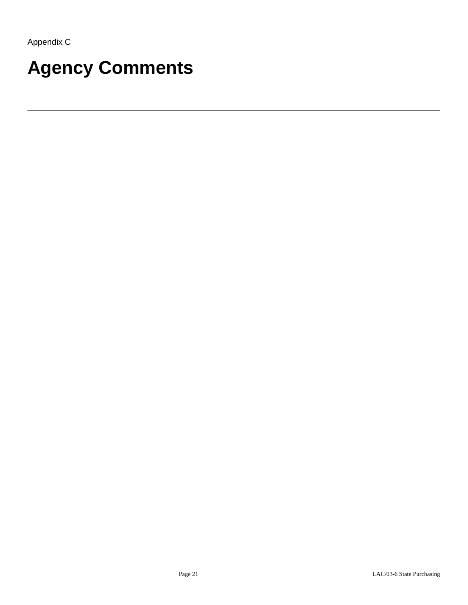# **Agency Comments**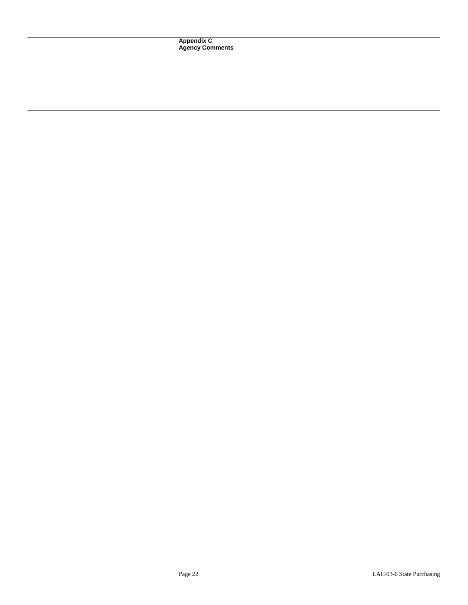**Appendix C Agency Comments**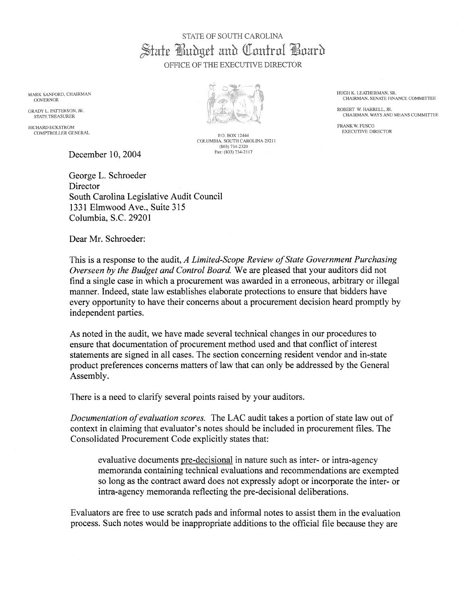### STATE OF SOUTH CAROLINA State Budget and Control Board OFFICE OF THE EXECUTIVE DIRECTOR

MARK SANFORD, CHAIRMAN GOVERNOR

**GRADY L. PATTERSON, JR.** STATE TREASURER

RICHARD ECKSTROM COMPTROLLER GENERAL

December 10, 2004

George L. Schroeder Director South Carolina Legislative Audit Council 1331 Elmwood Ave., Suite 315 Columbia, S.C. 29201

Dear Mr. Schroeder:

This is a response to the audit, A Limited-Scope Review of State Government Purchasing Overseen by the Budget and Control Board. We are pleased that your auditors did not find a single case in which a procurement was awarded in a erroneous, arbitrary or illegal manner. Indeed, state law establishes elaborate protections to ensure that bidders have every opportunity to have their concerns about a procurement decision heard promptly by independent parties.

As noted in the audit, we have made several technical changes in our procedures to ensure that documentation of procurement method used and that conflict of interest statements are signed in all cases. The section concerning resident vendor and in-state product preferences concerns matters of law that can only be addressed by the General Assembly.

There is a need to clarify several points raised by your auditors.

Documentation of evaluation scores. The LAC audit takes a portion of state law out of context in claiming that evaluator's notes should be included in procurement files. The Consolidated Procurement Code explicitly states that:

evaluative documents pre-decisional in nature such as inter- or intra-agency memoranda containing technical evaluations and recommendations are exempted so long as the contract award does not expressly adopt or incorporate the inter-or intra-agency memoranda reflecting the pre-decisional deliberations.

Evaluators are free to use scratch pads and informal notes to assist them in the evaluation process. Such notes would be inappropriate additions to the official file because they are



P.O. BOX 12444 COLUMBIA, SOUTH CAROLINA 29211 (803) 734-2320 Fax: (803) 734-2117

HUGH K. LEATHERMAN, SR. CHAIRMAN, SENATE FINANCE COMMITTEE

ROBERT W. HARRELL, JR. CHAIRMAN, WAYS AND MEANS COMMITTEE

FRANK W. FUSCO EXECUTIVE DIRECTOR